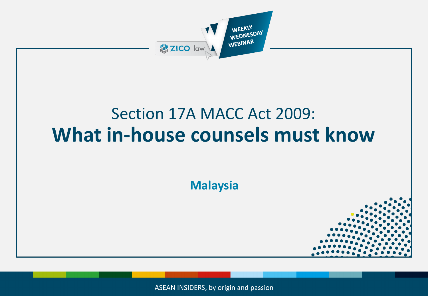

ASEAN INSIDERS, by origin and passion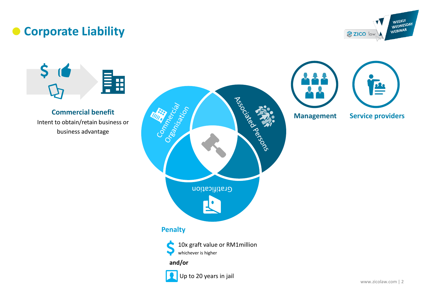# **Corporate Liability**





#### **Commercial benefit** Intent to obtain/retain business or business advantage



Up to 20 years in jail



E

**Management Service providers**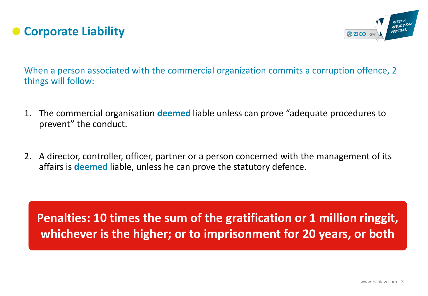



When a person associated with the commercial organization commits a corruption offence, 2 things will follow:

- 1. The commercial organisation **deemed** liable unless can prove "adequate procedures to prevent" the conduct.
- 2. A director, controller, officer, partner or a person concerned with the management of its affairs is **deemed** liable, unless he can prove the statutory defence.

**Penalties: 10 times the sum of the gratification or 1 million ringgit, whichever is the higher; or to imprisonment for 20 years, or both**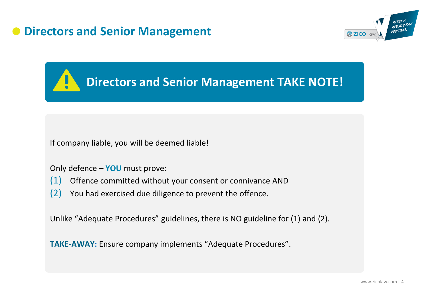## **Directors and Senior Management**



**Directors and Senior Management TAKE NOTE!**

If company liable, you will be deemed liable!

Only defence – **YOU** must prove:

- (1) Offence committed without your consent or connivance AND
- (2) You had exercised due diligence to prevent the offence.

Unlike "Adequate Procedures" guidelines, there is NO guideline for (1) and (2).

**TAKE-AWAY:** Ensure company implements "Adequate Procedures".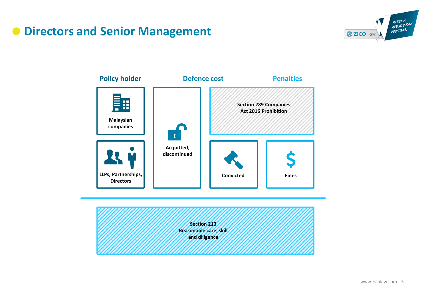# **Directors and Senior Management**





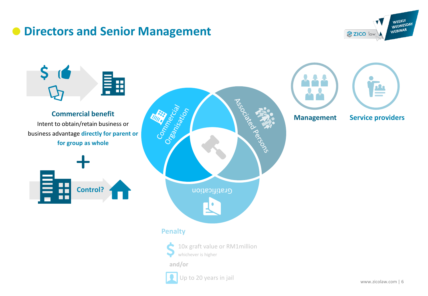## **Directors and Senior Management**



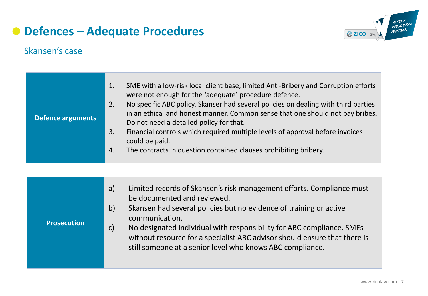

## Skansen's case

| SME with a low-risk local client base, limited Anti-Bribery and Corruption efforts<br>1.<br>were not enough for the 'adequate' procedure defence.<br>No specific ABC policy. Skanser had several policies on dealing with third parties<br>2.<br>in an ethical and honest manner. Common sense that one should not pay bribes.<br><b>Defence arguments</b><br>Do not need a detailed policy for that.<br>Financial controls which required multiple levels of approval before invoices<br>3.<br>could be paid.<br>The contracts in question contained clauses prohibiting bribery.<br>$\overline{4}$ . |
|--------------------------------------------------------------------------------------------------------------------------------------------------------------------------------------------------------------------------------------------------------------------------------------------------------------------------------------------------------------------------------------------------------------------------------------------------------------------------------------------------------------------------------------------------------------------------------------------------------|
|--------------------------------------------------------------------------------------------------------------------------------------------------------------------------------------------------------------------------------------------------------------------------------------------------------------------------------------------------------------------------------------------------------------------------------------------------------------------------------------------------------------------------------------------------------------------------------------------------------|

| <b>Prosecution</b> | Limited records of Skansen's risk management efforts. Compliance must<br>a)<br>be documented and reviewed.<br>Skansen had several policies but no evidence of training or active<br>$\mathsf{b}$<br>communication.<br>No designated individual with responsibility for ABC compliance. SMEs<br>$\mathsf{C}$<br>without resource for a specialist ABC advisor should ensure that there is<br>still someone at a senior level who knows ABC compliance. |
|--------------------|-------------------------------------------------------------------------------------------------------------------------------------------------------------------------------------------------------------------------------------------------------------------------------------------------------------------------------------------------------------------------------------------------------------------------------------------------------|
|--------------------|-------------------------------------------------------------------------------------------------------------------------------------------------------------------------------------------------------------------------------------------------------------------------------------------------------------------------------------------------------------------------------------------------------------------------------------------------------|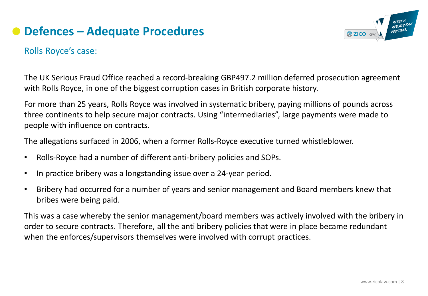

## Rolls Royce's case:

The UK Serious Fraud Office reached a record-breaking GBP497.2 million deferred prosecution agreement with Rolls Royce, in one of the biggest corruption cases in British corporate history.

For more than 25 years, Rolls Royce was involved in systematic bribery, paying millions of pounds across three continents to help secure major contracts. Using "intermediaries", large payments were made to people with influence on contracts.

The allegations surfaced in 2006, when a former Rolls-Royce executive turned whistleblower.

- Rolls-Royce had a number of different anti-bribery policies and SOPs.
- In practice bribery was a longstanding issue over a 24-year period.
- Bribery had occurred for a number of years and senior management and Board members knew that bribes were being paid.

This was a case whereby the senior management/board members was actively involved with the bribery in order to secure contracts. Therefore, all the anti bribery policies that were in place became redundant when the enforces/supervisors themselves were involved with corrupt practices.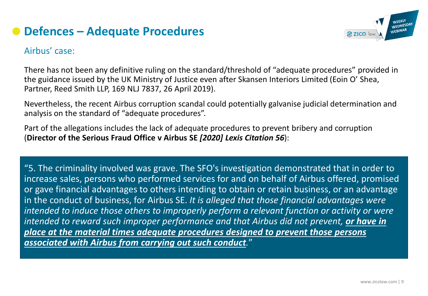

## Airbus' case:

There has not been any definitive ruling on the standard/threshold of "adequate procedures" provided in the guidance issued by the UK Ministry of Justice even after Skansen Interiors Limited (Eoin O' Shea, Partner, Reed Smith LLP, 169 NLJ 7837, 26 April 2019).

Nevertheless, the recent Airbus corruption scandal could potentially galvanise judicial determination and analysis on the standard of "adequate procedures".

Part of the allegations includes the lack of adequate procedures to prevent bribery and corruption (**Director of the Serious Fraud Office v Airbus SE** *[2020] Lexis Citation 56*):

"5. The criminality involved was grave. The SFO's investigation demonstrated that in order to increase sales, persons who performed services for and on behalf of Airbus offered, promised or gave financial advantages to others intending to obtain or retain business, or an advantage in the conduct of business, for Airbus SE. *It is alleged that those financial advantages were intended to induce those others to improperly perform a relevant function or activity or were intended to reward such improper performance and that Airbus did not prevent, or have in place at the material times adequate procedures designed to prevent those persons associated with Airbus from carrying out such conduct.*"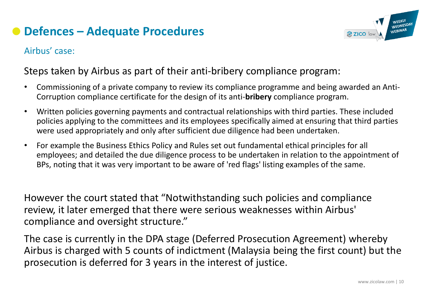

## Airbus' case:

## Steps taken by Airbus as part of their anti-bribery compliance program:

- Commissioning of a private company to review its compliance programme and being awarded an Anti-Corruption compliance certificate for the design of its anti-**bribery** compliance program.
- Written policies governing payments and contractual relationships with third parties. These included policies applying to the committees and its employees specifically aimed at ensuring that third parties were used appropriately and only after sufficient due diligence had been undertaken.
- For example the Business Ethics Policy and Rules set out fundamental ethical principles for all employees; and detailed the due diligence process to be undertaken in relation to the appointment of BPs, noting that it was very important to be aware of 'red flags' listing examples of the same.

However the court stated that "Notwithstanding such policies and compliance review, it later emerged that there were serious weaknesses within Airbus' compliance and oversight structure."

The case is currently in the DPA stage (Deferred Prosecution Agreement) whereby Airbus is charged with 5 counts of indictment (Malaysia being the first count) but the prosecution is deferred for 3 years in the interest of justice.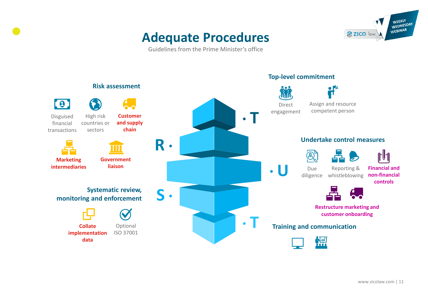# **Adequate Procedures**

WEEKLY WEDNESDAY<br>WEDNESDAY ZICO law

Guidelines from the Prime Minister's office

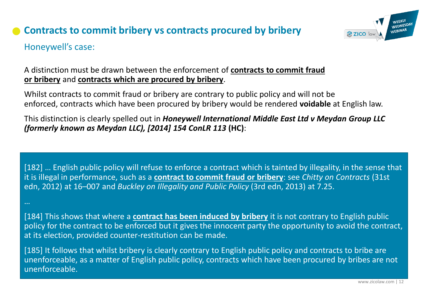## **Contracts to commit bribery vs contracts procured by bribery**



## Honeywell's case:

### A distinction must be drawn between the enforcement of **contracts to commit fraud or bribery** and **contracts which are procured by bribery**.

Whilst contracts to commit fraud or bribery are contrary to public policy and will not be enforced, contracts which have been procured by bribery would be rendered **voidable** at English law.

This distinction is clearly spelled out in *Honeywell International Middle East Ltd v Meydan Group LLC (formerly known as Meydan LLC), [2014] 154 ConLR 113* **(HC)**:

[182] … English public policy will refuse to enforce a contract which is tainted by illegality, in the sense that it is illegal in performance, such as a **contract to commit fraud or bribery**: see *Chitty on Contracts* (31st edn, 2012) at 16–007 and *Buckley on Illegality and Public Policy* (3rd edn, 2013) at 7.25.

…

[184] This shows that where a **contract has been induced by bribery** it is not contrary to English public policy for the contract to be enforced but it gives the innocent party the opportunity to avoid the contract, at its election, provided counter-restitution can be made.

[185] It follows that whilst bribery is clearly contrary to English public policy and contracts to bribe are unenforceable, as a matter of English public policy, contracts which have been procured by bribes are not unenforceable.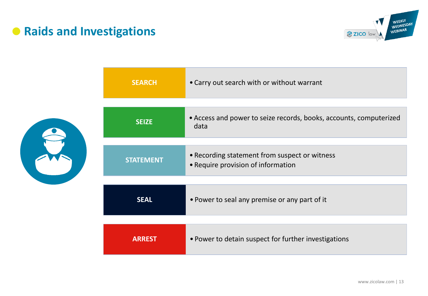# **• Raids and Investigations**



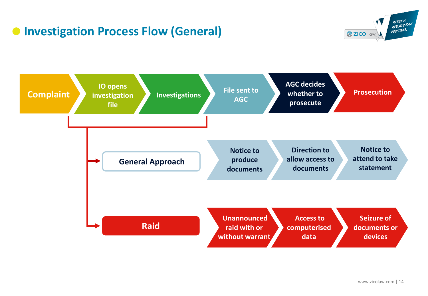# **• Investigation Process Flow (General)**



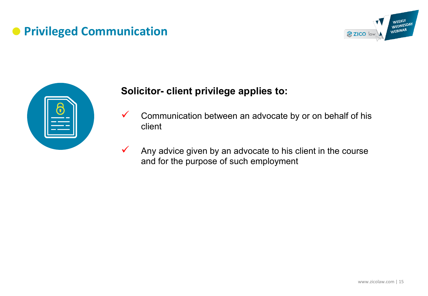# **• Privileged Communication**





## **Solicitor- client privilege applies to:**

- $\checkmark$  Communication between an advocate by or on behalf of his client
- $\checkmark$  Any advice given by an advocate to his client in the course and for the purpose of such employment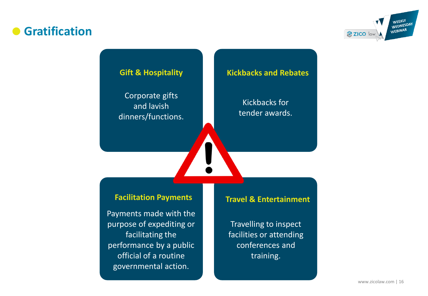## **Gratification**



Corporate gifts and lavish dinners/functions.

#### **Gift & Hospitality Kickbacks and Rebates**

Kickbacks for tender awards.

#### **Facilitation Payments Travel & Entertainment**

Payments made with the purpose of expediting or facilitating the performance by a public official of a routine governmental action.

Travelling to inspect facilities or attending conferences and training.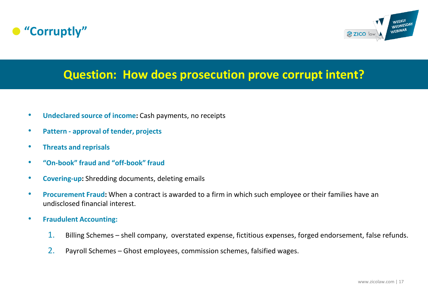



## **Question: How does prosecution prove corrupt intent?**

- **Undeclared source of income:** Cash payments, no receipts
- **Pattern - approval of tender, projects**
- **Threats and reprisals**
- **"On-book" fraud and "off-book" fraud**
- **Covering-up:** Shredding documents, deleting emails
- **Procurement Fraud:** When a contract is awarded to a firm in which such employee or their families have an undisclosed financial interest.
- **Fraudulent Accounting:** 
	- 1. Billing Schemes shell company, overstated expense, fictitious expenses, forged endorsement, false refunds.
	- 2. Payroll Schemes Ghost employees, commission schemes, falsified wages.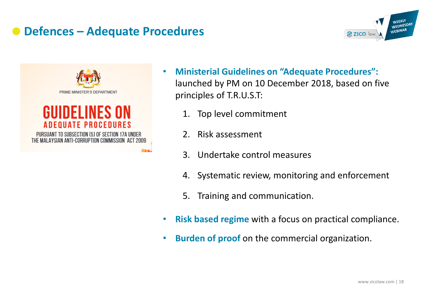





- **Ministerial Guidelines on "Adequate Procedures":**  launched by PM on 10 December 2018, based on five principles of T.R.U.S.T:
	- 1. Top level commitment
	- 2. Risk assessment
	- 3. Undertake control measures
	- 4. Systematic review, monitoring and enforcement
	- 5. Training and communication.
- **Risk based regime** with a focus on practical compliance.
- **Burden of proof** on the commercial organization.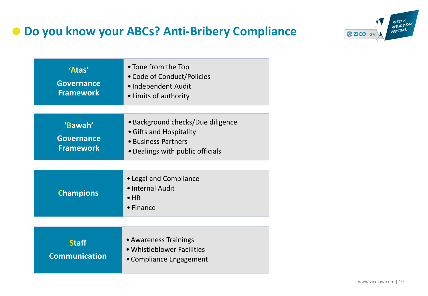# **Do you know your ABCs? Anti-Bribery Compliance**



| 'Atas'<br><b>Governance</b><br><b>Framework</b>  | • Tone from the Top<br>• Code of Conduct/Policies<br>• Independent Audit<br>• Limits of authority                       |
|--------------------------------------------------|-------------------------------------------------------------------------------------------------------------------------|
| 'Bawah'<br><b>Governance</b><br><b>Framework</b> | • Background checks/Due diligence<br>• Gifts and Hospitality<br>• Business Partners<br>• Dealings with public officials |
| <b>Champions</b>                                 | • Legal and Compliance<br>• Internal Audit<br>$\bullet$ HR<br>$\bullet$ Finance                                         |
| Staff                                            | • Awareness Trainings                                                                                                   |

**Staff Communication** 

• Compliance Engagement

•Whistleblower Facilities